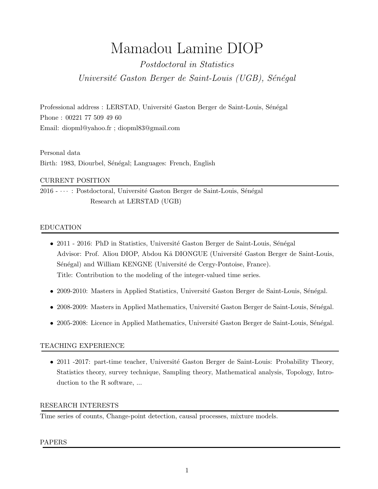# Mamadou Lamine DIOP

Postdoctoral in Statistics Université Gaston Berger de Saint-Louis (UGB), Sénégal

Professional address : LERSTAD, Université Gaston Berger de Saint-Louis, Sénégal Phone : 00221 77 509 49 60 Email: diopml@yahoo.fr ; diopml83@gmail.com

Personal data Birth: 1983, Diourbel, Sénégal; Languages: French, English

## CURRENT POSITION

 $2016 - \cdots$ : Postdoctoral, Université Gaston Berger de Saint-Louis, Sénégal Research at LERSTAD (UGB)

## EDUCATION

- 2011 2016: PhD in Statistics, Université Gaston Berger de Saint-Louis, Sénégal Advisor: Prof. Aliou DIOP, Abdou Kâ DIONGUE (Université Gaston Berger de Saint-Louis, Sénégal) and William KENGNE (Université de Cergy-Pontoise, France). Title: Contribution to the modeling of the integer-valued time series.
- 2009-2010: Masters in Applied Statistics, Université Gaston Berger de Saint-Louis, Sénégal.
- 2008-2009: Masters in Applied Mathematics, Université Gaston Berger de Saint-Louis, Sénégal.
- 2005-2008: Licence in Applied Mathematics, Université Gaston Berger de Saint-Louis, Sénégal.

## TEACHING EXPERIENCE

• 2011 -2017: part-time teacher, Université Gaston Berger de Saint-Louis: Probability Theory, Statistics theory, survey technique, Sampling theory, Mathematical analysis, Topology, Introduction to the R software, ...

#### RESEARCH INTERESTS

Time series of counts, Change-point detection, causal processes, mixture models.

#### PAPERS